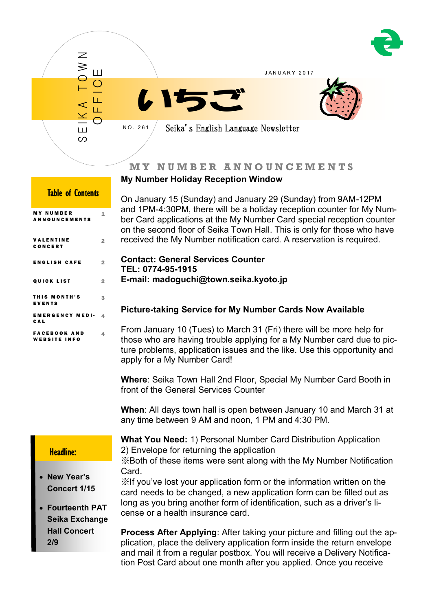

# **M Y N U M B E R A N N O U N C E M E N T S**

## **My Number Holiday Reception Window**

On January 15 (Sunday) and January 29 (Sunday) from 9AM-12PM and 1PM-4:30PM, there will be a holiday reception counter for My Number Card applications at the My Number Card special reception counter on the second floor of Seika Town Hall. This is only for those who have received the My Number notification card. A reservation is required.

## **Contact: General Services Counter TEL: 0774-95-1915 E-mail: madoguchi@town.seika.kyoto.jp**

# **Picture-taking Service for My Number Cards Now Available**

From January 10 (Tues) to March 31 (Fri) there will be more help for those who are having trouble applying for a My Number card due to picture problems, application issues and the like. Use this opportunity and apply for a My Number Card!

**Where**: Seika Town Hall 2nd Floor, Special My Number Card Booth in front of the General Services Counter

**When**: All days town hall is open between January 10 and March 31 at any time between 9 AM and noon, 1 PM and 4:30 PM.

## Headline:

 **New Year's Concert 1/15**

 **Fourteenth PAT Seika Exchange Hall Concert 2/9**

**What You Need:** 1) Personal Number Card Distribution Application 2) Envelope for returning the application ※Both of these items were sent along with the My Number Notification

Card. ※If you've lost your application form or the information written on the card needs to be changed, a new application form can be filled out as long as you bring another form of identification, such as a driver's license or a health insurance card.

**Process After Applying**: After taking your picture and filling out the application, place the delivery application form inside the return envelope and mail it from a regular postbox. You will receive a Delivery Notification Post Card about one month after you applied. Once you receive

| <b>Table of Contents</b>                   |                |  |
|--------------------------------------------|----------------|--|
| <b>MY NUMBER</b><br><b>ANNOUNCEMENTS</b>   | 1              |  |
| <b>VALENTINE</b><br>CONCERT                | 2              |  |
| <b>ENGLISH CAFE</b>                        | $\overline{2}$ |  |
| <b>QUICK LIST</b>                          | $\overline{2}$ |  |
| THIS MONTH'S<br><b>EVENTS</b>              | я              |  |
| <b>EMERGENCY MEDI-</b><br>CAL              | 4              |  |
| <b>FACEBOOK AND</b><br><b>WEBSITE INFO</b> | Δ              |  |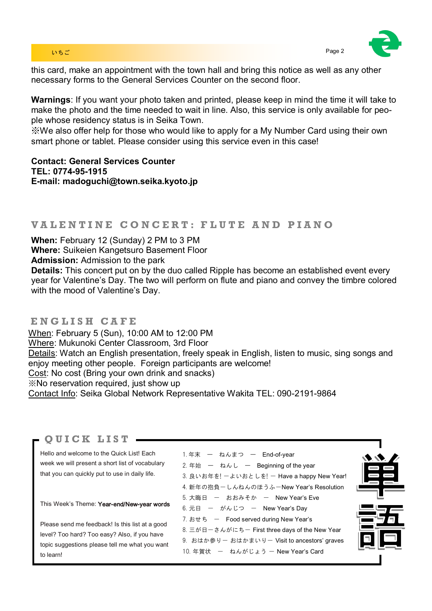## いちご Page 2 とのこと Page 2 とのこと アイディング・プレート こうしょうかい Page 2

this card, make an appointment with the town hall and bring this notice as well as any other necessary forms to the General Services Counter on the second floor.

**Warnings**: If you want your photo taken and printed, please keep in mind the time it will take to make the photo and the time needed to wait in line. Also, this service is only available for people whose residency status is in Seika Town.

※We also offer help for those who would like to apply for a My Number Card using their own smart phone or tablet. Please consider using this service even in this case!

**Contact: General Services Counter TEL: 0774-95-1915 E-mail: madoguchi@town.seika.kyoto.jp**

# **V A L E N T I N E C O N C E R T : F L U T E A N D P I A N O**

**When:** February 12 (Sunday) 2 PM to 3 PM

**Where:** Suikeien Kangetsuro Basement Floor

**Admission:** Admission to the park

**Details:** This concert put on by the duo called Ripple has become an established event every year for Valentine's Day. The two will perform on flute and piano and convey the timbre colored with the mood of Valentine's Day.

## **E N G L I S H C A F E**

When: February 5 (Sun), 10:00 AM to 12:00 PM Where: Mukunoki Center Classroom, 3rd Floor Details: Watch an English presentation, freely speak in English, listen to music, sing songs and enjoy meeting other people. Foreign participants are welcome! Cost: No cost (Bring your own drink and snacks) ※No reservation required, just show up Contact Info: Seika Global Network Representative Wakita TEL: 090-2191-9864

## **Q U I C K L I S T**

Hello and welcome to the Quick List! Each week we will present a short list of vocabulary that you can quickly put to use in daily life.

This Week's Theme: Year-end/New-year words

Please send me feedback! Is this list at a good level? Too hard? Too easy? Also, if you have topic suggestions please tell me what you want to learn!

| 1.年末 ー ねんまつ ー End-of-year                      |
|------------------------------------------------|
| 2. 年始 ー ねんし ー Beginning of the year            |
| 3. 良いお年を! 一よいおとしを! 一 Have a happy New Year!    |
| 4. 新年の抱負ーしんねんのほうふーNew Year's Resolution        |
| 5. 大晦日 ー おおみそか ー New Year's Eve                |
| 6. 元日 ー がんじつ ー New Year's Day                  |
| 7. おせち ー Food served during New Year's         |
| 8. 三が日一さんがにちー First three days of the New Year |
| 9. おはか参りー おはかまいりー Visit to ancestors' graves   |
| 10. 年賀状 ー ねんがじょう ー New Year's Card             |
|                                                |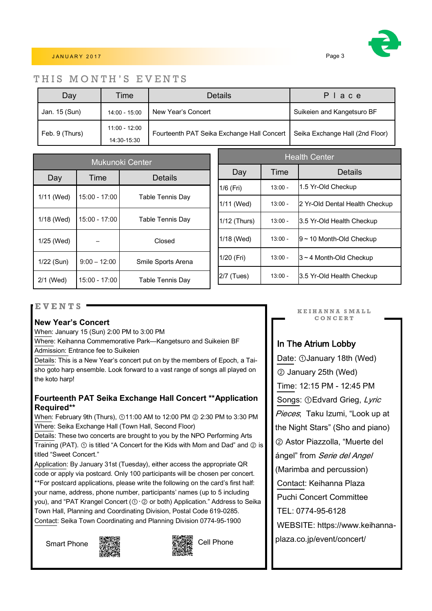

## J A N U A R Y 2 0 1 7 Page 3

## THIS MONTH'S EVENTS

| Day            | Time            | <b>Details</b>                             | Place                           |  |
|----------------|-----------------|--------------------------------------------|---------------------------------|--|
| Jan. 15 (Sun)  | 14:00 - 15:00   | New Year's Concert                         | Suikeien and Kangetsuro BF      |  |
| Feb. 9 (Thurs) | $11:00 - 12:00$ | Fourteenth PAT Seika Exchange Hall Concert | Seika Exchange Hall (2nd Floor) |  |
|                | 14:30-15:30     |                                            |                                 |  |

| <b>Mukunoki Center</b> |                 |                         |  |
|------------------------|-----------------|-------------------------|--|
| Day                    | Time            | Details                 |  |
| 1/11 (Wed)             | $15:00 - 17:00$ | Table Tennis Day        |  |
| 1/18 (Wed)             | 15:00 - 17:00   | Table Tennis Day        |  |
| 1/25 (Wed)             |                 | Closed                  |  |
| 1/22 (Sun)             | $9:00 - 12:00$  | Smile Sports Arena      |  |
| 2/1 (Wed)              | $15:00 - 17:00$ | <b>Table Tennis Day</b> |  |

| <b>Health Center</b> |           |                                |  |
|----------------------|-----------|--------------------------------|--|
| Day                  | Time      | Details                        |  |
| 1/6 (Fri)            | $13:00 -$ | 1.5 Yr-Old Checkup             |  |
| 1/11 (Wed)           | $13:00 -$ | 2 Yr-Old Dental Health Checkup |  |
| 1/12 (Thurs)         | $13:00 -$ | 3.5 Yr-Old Health Checkup      |  |
| 1/18 (Wed)           | $13:00 -$ | 9~10 Month-Old Checkup         |  |
| 1/20 (Fri)           | $13:00 -$ | $3 \sim 4$ Month-Old Checkup   |  |
| 2/7 (Tues)           | $13:00 -$ | 3.5 Yr-Old Health Checkup      |  |

## **E V E N T S**

## **New Year's Concert**

When: January 15 (Sun) 2:00 PM to 3:00 PM

Where: Keihanna Commemorative Park—Kangetsuro and Suikeien BF Admission: Entrance fee to Suikeien

Details: This is a New Year's concert put on by the members of Epoch, a Taisho goto harp ensemble. Look forward to a vast range of songs all played on the koto harp!

## **Fourteenth PAT Seika Exchange Hall Concert \*\*Application Required\*\***

When: February 9th (Thurs), ①11:00 AM to 12:00 PM ② 2:30 PM to 3:30 PM Where: Seika Exchange Hall (Town Hall, Second Floor)

Details: These two concerts are brought to you by the NPO Performing Arts Training (PAT). ① is titled "A Concert for the Kids with Mom and Dad" and ② is titled "Sweet Concert."

Application: By January 31st (Tuesday), either access the appropriate QR code or apply via postcard. Only 100 participants will be chosen per concert. \*\*For postcard applications, please write the following on the card's first half: your name, address, phone number, participants' names (up to 5 including you), and "PAT Krangel Concert (①・② or both) Application." Address to Seika Town Hall, Planning and Coordinating Division, Postal Code 619-0285. Contact: Seika Town Coordinating and Planning Division 0774-95-1900





**K E I H A N N A S M A L L C O N C E R T**

# In The Atrium Lobby

Date: ①January 18th (Wed) ② January 25th (Wed) Time: 12:15 PM - 12:45 PM Songs: ①Edvard Grieg, Lyric Pieces; Taku Izumi, "Look up at the Night Stars" (Sho and piano) ② Astor Piazzolla, "Muerte del ángel" from *Serie del Angel* (Marimba and percussion) Contact: Keihanna Plaza Puchi Concert Committee TEL: 0774-95-6128 WEBSITE: https://www.keihannaplaza.co.jp/event/concert/